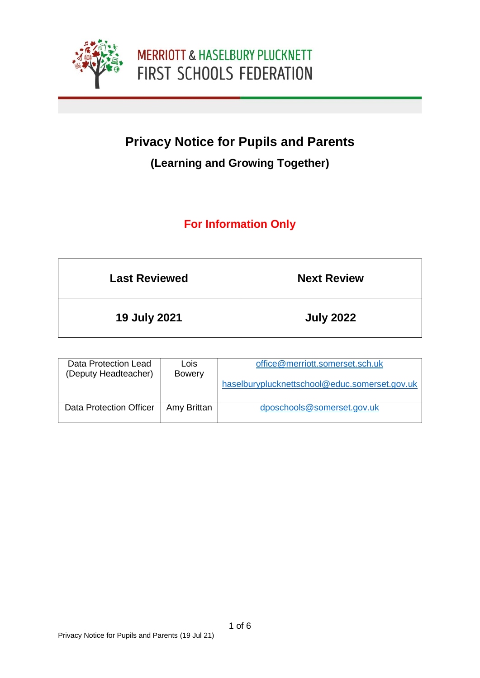

# **Privacy Notice for Pupils and Parents**

# **(Learning and Growing Together)**

# **For Information Only**

| <b>Last Reviewed</b> | <b>Next Review</b> |
|----------------------|--------------------|
| 19 July 2021         | <b>July 2022</b>   |

| Data Protection Lead<br>(Deputy Headteacher) | Lois<br><b>Bowery</b> | office@merriott.somerset.sch.uk               |
|----------------------------------------------|-----------------------|-----------------------------------------------|
|                                              |                       | haselburyplucknettschool@educ.somerset.gov.uk |
| <b>Data Protection Officer</b>               | Amy Brittan           | dposchools@somerset.gov.uk                    |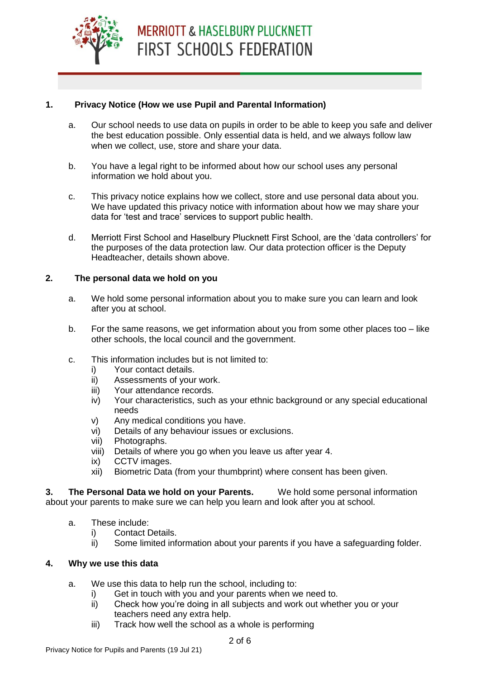

### **1. Privacy Notice (How we use Pupil and Parental Information)**

- a. Our school needs to use data on pupils in order to be able to keep you safe and deliver the best education possible. Only essential data is held, and we always follow law when we collect, use, store and share your data.
- b. You have a legal right to be informed about how our school uses any personal information we hold about you.
- c. This privacy notice explains how we collect, store and use personal data about you. We have updated this privacy notice with information about how we may share your data for 'test and trace' services to support public health.
- d. Merriott First School and Haselbury Plucknett First School, are the 'data controllers' for the purposes of the data protection law. Our data protection officer is the Deputy Headteacher, details shown above.

### **2. The personal data we hold on you**

- a. We hold some personal information about you to make sure you can learn and look after you at school.
- b. For the same reasons, we get information about you from some other places too like other schools, the local council and the government.
- c. This information includes but is not limited to:
	- i) Your contact details.
	- ii) Assessments of your work.
	- iii) Your attendance records.
	- iv) Your characteristics, such as your ethnic background or any special educational needs
	- v) Any medical conditions you have.
	- vi) Details of any behaviour issues or exclusions.
	- vii) Photographs.
	- viii) Details of where you go when you leave us after year 4.
	- ix) CCTV images.
	- xii) Biometric Data (from your thumbprint) where consent has been given.

**3. The Personal Data we hold on your Parents.** We hold some personal information about your parents to make sure we can help you learn and look after you at school.

- a. These include:
	- i) Contact Details.
	- ii) Some limited information about your parents if you have a safeguarding folder.

#### **4. Why we use this data**

- a. We use this data to help run the school, including to:
	- i) Get in touch with you and your parents when we need to.
	- ii) Check how you're doing in all subjects and work out whether you or your teachers need any extra help.
	- iii) Track how well the school as a whole is performing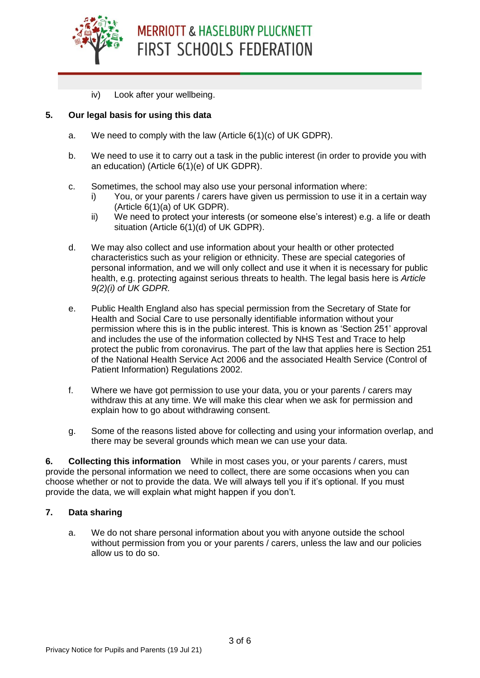

iv) Look after your wellbeing.

# **5. Our legal basis for using this data**

- a. We need to comply with the law (Article 6(1)(c) of UK GDPR).
- b. We need to use it to carry out a task in the public interest (in order to provide you with an education) (Article 6(1)(e) of UK GDPR).
- c. Sometimes, the school may also use your personal information where:
	- i) You, or your parents / carers have given us permission to use it in a certain way (Article 6(1)(a) of UK GDPR).
	- ii) We need to protect your interests (or someone else's interest) e.g. a life or death situation (Article 6(1)(d) of UK GDPR).
- d. We may also collect and use information about your health or other protected characteristics such as your religion or ethnicity. These are special categories of personal information, and we will only collect and use it when it is necessary for public health, e.g. protecting against serious threats to health. The legal basis here is *Article 9(2)(i) of UK GDPR.*
- e. Public Health England also has special permission from the Secretary of State for Health and Social Care to use personally identifiable information without your permission where this is in the public interest. This is known as 'Section 251' approval and includes the use of the information collected by NHS Test and Trace to help protect the public from coronavirus. The part of the law that applies here is Section 251 of the National Health Service Act 2006 and the associated Health Service (Control of Patient Information) Regulations 2002.
- f. Where we have got permission to use your data, you or your parents / carers may withdraw this at any time. We will make this clear when we ask for permission and explain how to go about withdrawing consent.
- g. Some of the reasons listed above for collecting and using your information overlap, and there may be several grounds which mean we can use your data.

**6. Collecting this information** While in most cases you, or your parents / carers, must provide the personal information we need to collect, there are some occasions when you can choose whether or not to provide the data. We will always tell you if it's optional. If you must provide the data, we will explain what might happen if you don't.

#### **7. Data sharing**

a. We do not share personal information about you with anyone outside the school without permission from you or your parents / carers, unless the law and our policies allow us to do so.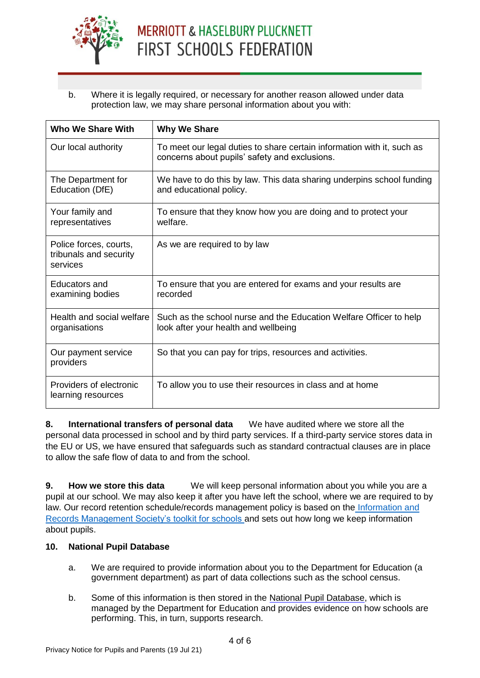

b. Where it is legally required, or necessary for another reason allowed under data protection law, we may share personal information about you with:

| Who We Share With                                            | <b>Why We Share</b>                                                                                                     |
|--------------------------------------------------------------|-------------------------------------------------------------------------------------------------------------------------|
| Our local authority                                          | To meet our legal duties to share certain information with it, such as<br>concerns about pupils' safety and exclusions. |
| The Department for<br>Education (DfE)                        | We have to do this by law. This data sharing underpins school funding<br>and educational policy.                        |
| Your family and<br>representatives                           | To ensure that they know how you are doing and to protect your<br>welfare.                                              |
| Police forces, courts,<br>tribunals and security<br>services | As we are required to by law                                                                                            |
| Educators and<br>examining bodies                            | To ensure that you are entered for exams and your results are<br>recorded                                               |
| Health and social welfare<br>organisations                   | Such as the school nurse and the Education Welfare Officer to help<br>look after your health and wellbeing              |
| Our payment service<br>providers                             | So that you can pay for trips, resources and activities.                                                                |
| Providers of electronic<br>learning resources                | To allow you to use their resources in class and at home                                                                |

**8. International transfers of personal data** We have audited where we store all the personal data processed in school and by third party services. If a third-party service stores data in the EU or US, we have ensured that safeguards such as standard contractual clauses are in place to allow the safe flow of data to and from the school.

**9. How we store this data** We will keep personal information about you while you are a pupil at our school. We may also keep it after you have left the school, where we are required to by law. Our r[e](http://irms.org.uk/?page=schoolstoolkit&terms=%22toolkit+and+schools%22)cord retention schedule/records management policy is based on the Information and [Records](http://irms.org.uk/?page=schoolstoolkit&terms=%22toolkit+and+schools%22) [Management Society's toolkit for schools](http://irms.org.uk/?page=schoolstoolkit&terms=%22toolkit+and+schools%22) and sets out how long we keep information about pupils.

# **10. National Pupil Database**

- a. We are required to provide information about you to the Department for Education (a government department) as part of data collections such as the school census.
- b. Some of this information is then stored in the [National Pupil Database,](https://www.gov.uk/government/publications/national-pupil-database-user-guide-and-supporting-information) which is managed by the Department for Education and provides evidence on how schools are performing. This, in turn, supports research.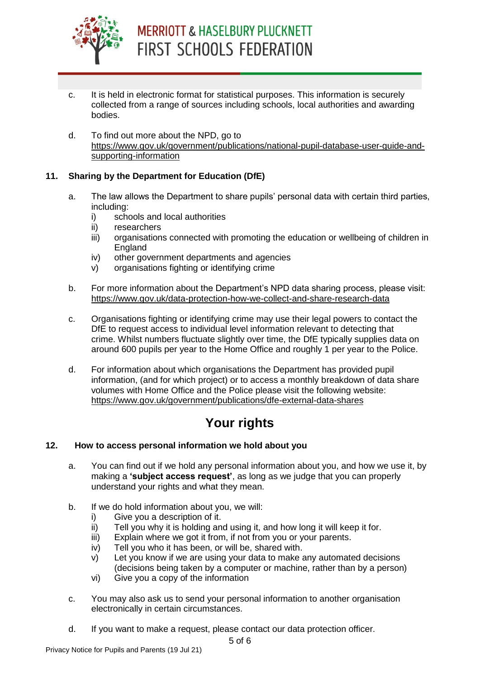

- c. It is held in electronic format for statistical purposes. This information is securely collected from a range of sources including schools, local authorities and awarding bodies.
- d. To find out more about the NPD, go to [https://www.gov.uk/government/publications/national-pupil-database-user-guide-and](https://www.gov.uk/government/publications/national-pupil-database-user-guide-and-supporting-information)[supporting-information](https://www.gov.uk/government/publications/national-pupil-database-user-guide-and-supporting-information)

### **11. Sharing by the Department for Education (DfE)**

- a. The law allows the Department to share pupils' personal data with certain third parties, including:
	- i) schools and local authorities
	- ii) researchers
	- iii) organisations connected with promoting the education or wellbeing of children in England
	- iv) other government departments and agencies
	- v) organisations fighting or identifying crime
- b. For more information about the Department's NPD data sharing process, please visit: <https://www.gov.uk/data-protection-how-we-collect-and-share-research-data>
- c. Organisations fighting or identifying crime may use their legal powers to contact the DfE to request access to individual level information relevant to detecting that crime. Whilst numbers fluctuate slightly over time, the DfE typically supplies data on around 600 pupils per year to the Home Office and roughly 1 per year to the Police.
- d. For information about which organisations the Department has provided pupil information, (and for which project) or to access a monthly breakdown of data share volumes with Home Office and the Police please visit the following website: <https://www.gov.uk/government/publications/dfe-external-data-shares>

# **Your rights**

#### **12. How to access personal information we hold about you**

- a. You can find out if we hold any personal information about you, and how we use it, by making a **'subject access request'**, as long as we judge that you can properly understand your rights and what they mean.
- b. If we do hold information about you, we will:
	- i) Give you a description of it.
	- ii) Tell you why it is holding and using it, and how long it will keep it for.
	- iii) Explain where we got it from, if not from you or your parents.
	- iv) Tell you who it has been, or will be, shared with.
	- v) Let you know if we are using your data to make any automated decisions (decisions being taken by a computer or machine, rather than by a person)
	- vi) Give you a copy of the information
- c. You may also ask us to send your personal information to another organisation electronically in certain circumstances.
- d. If you want to make a request, please contact our data protection officer.